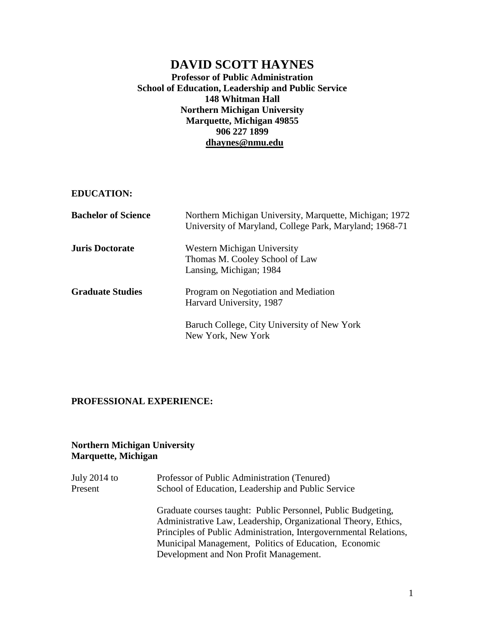# **DAVID SCOTT HAYNES**

**Professor of Public Administration School of Education, Leadership and Public Service 148 Whitman Hall Northern Michigan University Marquette, Michigan 49855 906 227 1899 [dhaynes@nmu.edu](mailto:dhaynes@nmu.edu)** 

**EDUCATION:**

| <b>Bachelor of Science</b> | Northern Michigan University, Marquette, Michigan; 1972<br>University of Maryland, College Park, Maryland; 1968-71 |
|----------------------------|--------------------------------------------------------------------------------------------------------------------|
| <b>Juris Doctorate</b>     | Western Michigan University<br>Thomas M. Cooley School of Law<br>Lansing, Michigan; 1984                           |
| <b>Graduate Studies</b>    | Program on Negotiation and Mediation<br>Harvard University, 1987                                                   |
|                            | Baruch College, City University of New York<br>New York, New York                                                  |

### **PROFESSIONAL EXPERIENCE:**

## **Northern Michigan University Marquette, Michigan**

| July 2014 to | Professor of Public Administration (Tenured)                                                                                                                                                                                                                                                           |
|--------------|--------------------------------------------------------------------------------------------------------------------------------------------------------------------------------------------------------------------------------------------------------------------------------------------------------|
| Present      | School of Education, Leadership and Public Service                                                                                                                                                                                                                                                     |
|              | Graduate courses taught: Public Personnel, Public Budgeting,<br>Administrative Law, Leadership, Organizational Theory, Ethics,<br>Principles of Public Administration, Intergovernmental Relations,<br>Municipal Management, Politics of Education, Economic<br>Development and Non Profit Management. |
|              |                                                                                                                                                                                                                                                                                                        |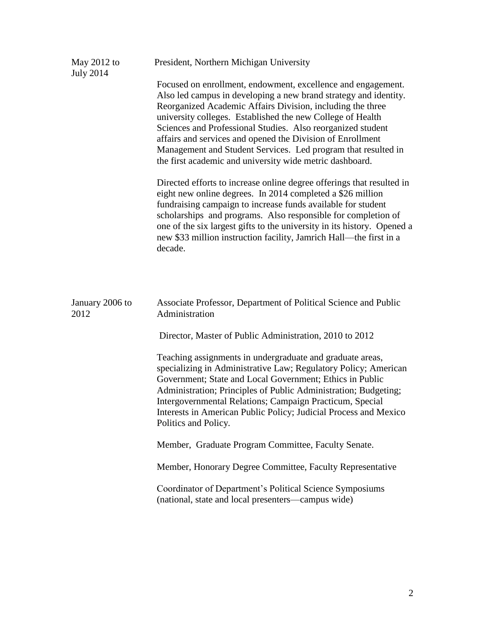| May $2012$ to<br><b>July 2014</b> | President, Northern Michigan University                                                                                                                                                                                                                                                                                                                                                                                                                                                                                |
|-----------------------------------|------------------------------------------------------------------------------------------------------------------------------------------------------------------------------------------------------------------------------------------------------------------------------------------------------------------------------------------------------------------------------------------------------------------------------------------------------------------------------------------------------------------------|
|                                   | Focused on enrollment, endowment, excellence and engagement.<br>Also led campus in developing a new brand strategy and identity.<br>Reorganized Academic Affairs Division, including the three<br>university colleges. Established the new College of Health<br>Sciences and Professional Studies. Also reorganized student<br>affairs and services and opened the Division of Enrollment<br>Management and Student Services. Led program that resulted in<br>the first academic and university wide metric dashboard. |
|                                   | Directed efforts to increase online degree offerings that resulted in<br>eight new online degrees. In 2014 completed a \$26 million<br>fundraising campaign to increase funds available for student<br>scholarships and programs. Also responsible for completion of<br>one of the six largest gifts to the university in its history. Opened a<br>new \$33 million instruction facility, Jamrich Hall—the first in a<br>decade.                                                                                       |
| January 2006 to<br>2012           | Associate Professor, Department of Political Science and Public<br>Administration<br>Director, Master of Public Administration, 2010 to 2012                                                                                                                                                                                                                                                                                                                                                                           |
|                                   | Teaching assignments in undergraduate and graduate areas,<br>specializing in Administrative Law; Regulatory Policy; American<br>Government; State and Local Government; Ethics in Public<br>Administration; Principles of Public Administration; Budgeting;<br>Intergovernmental Relations; Campaign Practicum, Special<br>Interests in American Public Policy; Judicial Process and Mexico<br>Politics and Policy.                                                                                                    |
|                                   | Member, Graduate Program Committee, Faculty Senate.                                                                                                                                                                                                                                                                                                                                                                                                                                                                    |
|                                   | Member, Honorary Degree Committee, Faculty Representative                                                                                                                                                                                                                                                                                                                                                                                                                                                              |
|                                   | Coordinator of Department's Political Science Symposiums<br>(national, state and local presenters—campus wide)                                                                                                                                                                                                                                                                                                                                                                                                         |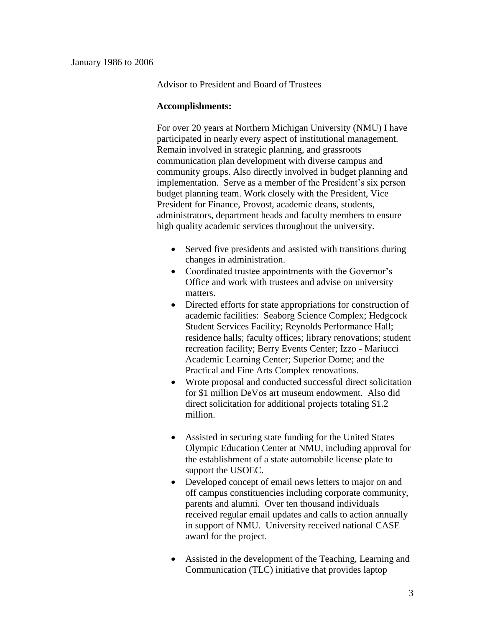Advisor to President and Board of Trustees

#### **Accomplishments:**

For over 20 years at Northern Michigan University (NMU) I have participated in nearly every aspect of institutional management. Remain involved in strategic planning, and grassroots communication plan development with diverse campus and community groups. Also directly involved in budget planning and implementation. Serve as a member of the President's six person budget planning team. Work closely with the President, Vice President for Finance, Provost, academic deans, students, administrators, department heads and faculty members to ensure high quality academic services throughout the university.

- Served five presidents and assisted with transitions during changes in administration.
- Coordinated trustee appointments with the Governor's Office and work with trustees and advise on university matters.
- Directed efforts for state appropriations for construction of academic facilities: Seaborg Science Complex; Hedgcock Student Services Facility; Reynolds Performance Hall; residence halls; faculty offices; library renovations; student recreation facility; Berry Events Center; Izzo - Mariucci Academic Learning Center; Superior Dome; and the Practical and Fine Arts Complex renovations.
- Wrote proposal and conducted successful direct solicitation for \$1 million DeVos art museum endowment. Also did direct solicitation for additional projects totaling \$1.2 million.
- Assisted in securing state funding for the United States Olympic Education Center at NMU, including approval for the establishment of a state automobile license plate to support the USOEC.
- Developed concept of email news letters to major on and off campus constituencies including corporate community, parents and alumni. Over ten thousand individuals received regular email updates and calls to action annually in support of NMU. University received national CASE award for the project.
- Assisted in the development of the Teaching, Learning and Communication (TLC) initiative that provides laptop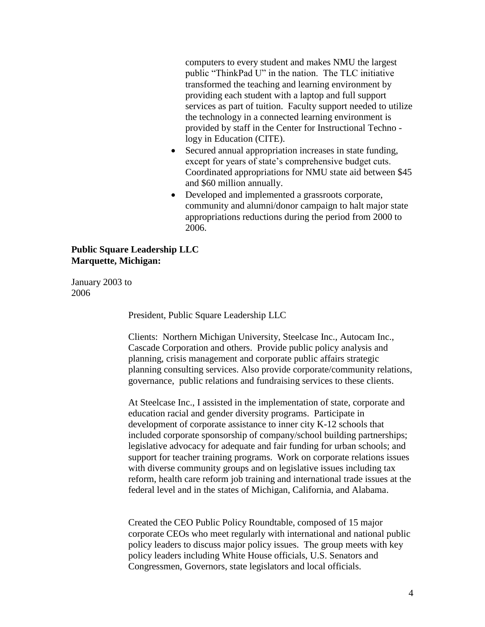computers to every student and makes NMU the largest public "ThinkPad U" in the nation. The TLC initiative transformed the teaching and learning environment by providing each student with a laptop and full support services as part of tuition. Faculty support needed to utilize the technology in a connected learning environment is provided by staff in the Center for Instructional Techno logy in Education (CITE).

- Secured annual appropriation increases in state funding, except for years of state's comprehensive budget cuts. Coordinated appropriations for NMU state aid between \$45 and \$60 million annually.
- Developed and implemented a grassroots corporate, community and alumni/donor campaign to halt major state appropriations reductions during the period from 2000 to 2006.

### **Public Square Leadership LLC Marquette, Michigan:**

January 2003 to 2006

President, Public Square Leadership LLC

Clients: Northern Michigan University, Steelcase Inc., Autocam Inc., Cascade Corporation and others. Provide public policy analysis and planning, crisis management and corporate public affairs strategic planning consulting services. Also provide corporate/community relations, governance, public relations and fundraising services to these clients.

At Steelcase Inc., I assisted in the implementation of state, corporate and education racial and gender diversity programs. Participate in development of corporate assistance to inner city K-12 schools that included corporate sponsorship of company/school building partnerships; legislative advocacy for adequate and fair funding for urban schools; and support for teacher training programs. Work on corporate relations issues with diverse community groups and on legislative issues including tax reform, health care reform job training and international trade issues at the federal level and in the states of Michigan, California, and Alabama.

Created the CEO Public Policy Roundtable, composed of 15 major corporate CEOs who meet regularly with international and national public policy leaders to discuss major policy issues. The group meets with key policy leaders including White House officials, U.S. Senators and Congressmen, Governors, state legislators and local officials.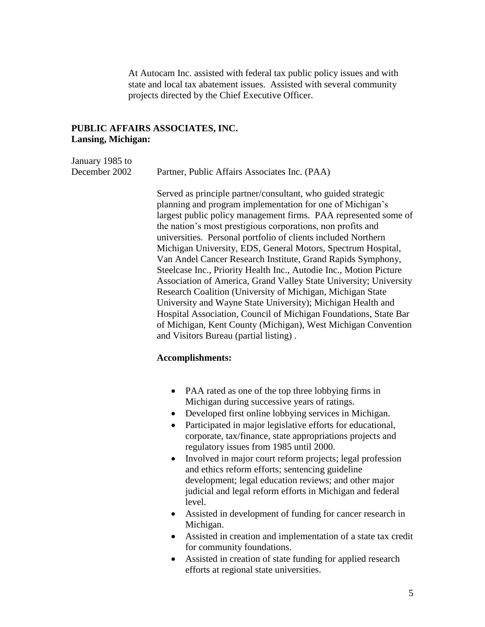At Autocam Inc. assisted with federal tax public policy issues and with state and local tax abatement issues. Assisted with several community projects directed by the Chief Executive Officer.

### **PUBLIC AFFAIRS ASSOCIATES, INC. Lansing, Michigan:**

| January 1985 to |                                               |
|-----------------|-----------------------------------------------|
| December 2002   | Partner, Public Affairs Associates Inc. (PAA) |

Served as principle partner/consultant, who guided strategic planning and program implementation for one of Michigan's largest public policy management firms. PAA represented some of the nation's most prestigious corporations, non profits and universities. Personal portfolio of clients included Northern Michigan University, EDS, General Motors, Spectrum Hospital, Van Andel Cancer Research Institute, Grand Rapids Symphony, Steelcase Inc., Priority Health Inc., Autodie Inc., Motion Picture Association of America, Grand Valley State University; University Research Coalition (University of Michigan, Michigan State University and Wayne State University); Michigan Health and Hospital Association, Council of Michigan Foundations, State Bar of Michigan, Kent County (Michigan), West Michigan Convention and Visitors Bureau (partial listing) .

#### **Accomplishments:**

- PAA rated as one of the top three lobbying firms in Michigan during successive years of ratings.
- Developed first online lobbying services in Michigan.
- Participated in major legislative efforts for educational, corporate, tax/finance, state appropriations projects and regulatory issues from 1985 until 2000.
- Involved in major court reform projects; legal profession and ethics reform efforts; sentencing guideline development; legal education reviews; and other major judicial and legal reform efforts in Michigan and federal level.
- Assisted in development of funding for cancer research in Michigan.
- Assisted in creation and implementation of a state tax credit for community foundations.
- Assisted in creation of state funding for applied research efforts at regional state universities.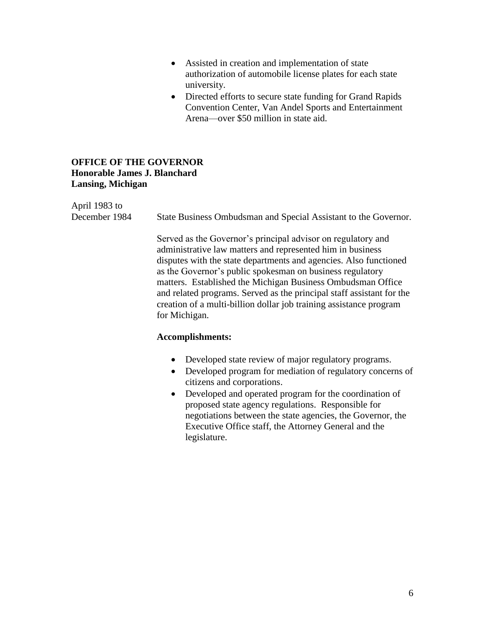- Assisted in creation and implementation of state authorization of automobile license plates for each state university.
- Directed efforts to secure state funding for Grand Rapids Convention Center, Van Andel Sports and Entertainment Arena—over \$50 million in state aid.

#### **OFFICE OF THE GOVERNOR Honorable James J. Blanchard Lansing, Michigan**

April 1983 to December 1984 State Business Ombudsman and Special Assistant to the Governor.

> Served as the Governor's principal advisor on regulatory and administrative law matters and represented him in business disputes with the state departments and agencies. Also functioned as the Governor's public spokesman on business regulatory matters. Established the Michigan Business Ombudsman Office and related programs. Served as the principal staff assistant for the creation of a multi-billion dollar job training assistance program for Michigan.

#### **Accomplishments:**

- Developed state review of major regulatory programs.
- Developed program for mediation of regulatory concerns of citizens and corporations.
- Developed and operated program for the coordination of proposed state agency regulations. Responsible for negotiations between the state agencies, the Governor, the Executive Office staff, the Attorney General and the legislature.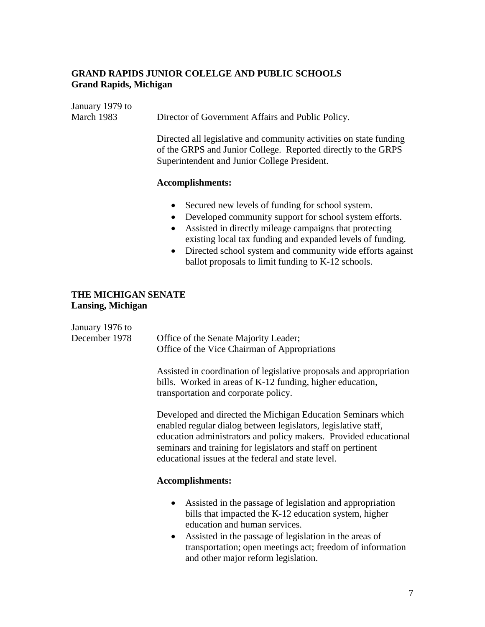## **GRAND RAPIDS JUNIOR COLELGE AND PUBLIC SCHOOLS Grand Rapids, Michigan**

| January 1979 to<br>March 1983            | Director of Government Affairs and Public Policy.                                                                                                                                                                                                                                                                                                                                            |  |
|------------------------------------------|----------------------------------------------------------------------------------------------------------------------------------------------------------------------------------------------------------------------------------------------------------------------------------------------------------------------------------------------------------------------------------------------|--|
|                                          | Directed all legislative and community activities on state funding<br>of the GRPS and Junior College. Reported directly to the GRPS<br>Superintendent and Junior College President.                                                                                                                                                                                                          |  |
|                                          | <b>Accomplishments:</b>                                                                                                                                                                                                                                                                                                                                                                      |  |
|                                          | Secured new levels of funding for school system.<br>Developed community support for school system efforts.<br>$\bullet$<br>Assisted in directly mileage campaigns that protecting<br>$\bullet$<br>existing local tax funding and expanded levels of funding.<br>Directed school system and community wide efforts against<br>$\bullet$<br>ballot proposals to limit funding to K-12 schools. |  |
| THE MICHIGAN SENATE<br>Lansing, Michigan |                                                                                                                                                                                                                                                                                                                                                                                              |  |
| January 1976 to<br>December 1978         | Office of the Senate Majority Leader;<br>Office of the Vice Chairman of Appropriations                                                                                                                                                                                                                                                                                                       |  |
|                                          | Assisted in coordination of legislative proposals and appropriation<br>bills. Worked in areas of K-12 funding, higher education,<br>transportation and corporate policy.                                                                                                                                                                                                                     |  |
|                                          | Developed and directed the Michigan Education Seminars which<br>enabled regular dialog between legislators, legislative staff,<br>education administrators and policy makers. Provided educational<br>seminars and training for legislators and staff on pertinent<br>educational issues at the federal and state level.                                                                     |  |
|                                          | <b>Accomplishments:</b>                                                                                                                                                                                                                                                                                                                                                                      |  |
|                                          | Assisted in the passage of legislation and appropriation<br>$\bullet$<br>bills that impacted the K-12 education system, higher<br>education and human services.<br>Assisted in the passage of legislation in the areas of<br>transportation; open meetings act; freedom of information                                                                                                       |  |

and other major reform legislation.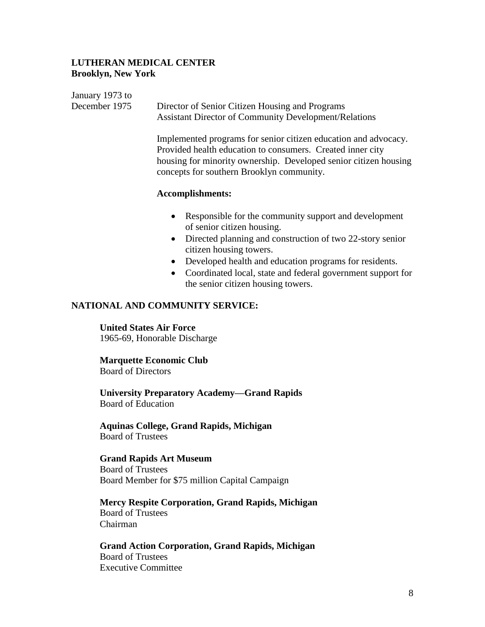#### **LUTHERAN MEDICAL CENTER Brooklyn, New York**

| January 1973 to |                                                                                                                                                                                                   |
|-----------------|---------------------------------------------------------------------------------------------------------------------------------------------------------------------------------------------------|
| December 1975   | Director of Senior Citizen Housing and Programs                                                                                                                                                   |
|                 | <b>Assistant Director of Community Development/Relations</b>                                                                                                                                      |
|                 | Implemented programs for senior citizen education and advocacy.<br>Provided health education to consumers. Created inner city<br>housing for minority ownership. Developed senior citizen housing |
|                 | concepts for southern Brooklyn community.                                                                                                                                                         |
|                 | <b>Accomplishments:</b>                                                                                                                                                                           |
|                 | Responsible for the community support and development<br>$\bullet$<br>of senior citizen housing.                                                                                                  |

- Directed planning and construction of two 22-story senior citizen housing towers.
- Developed health and education programs for residents.
- Coordinated local, state and federal government support for the senior citizen housing towers.

#### **NATIONAL AND COMMUNITY SERVICE:**

## **United States Air Force**

1965-69, Honorable Discharge

## **Marquette Economic Club**

Board of Directors

**University Preparatory Academy—Grand Rapids** Board of Education

**Aquinas College, Grand Rapids, Michigan** Board of Trustees

**Grand Rapids Art Museum** Board of Trustees Board Member for \$75 million Capital Campaign

**Mercy Respite Corporation, Grand Rapids, Michigan** Board of Trustees Chairman

**Grand Action Corporation, Grand Rapids, Michigan** Board of Trustees Executive Committee